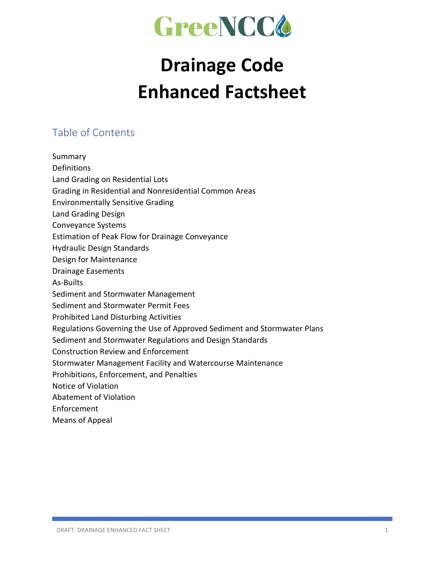

# **Drainage Code Enhanced Factsheet**

#### Table of Contents

Summary Definitions Land Grading on Residential Lots Grading in Residential and Nonresidential Common Areas Environmentally Sensitive Grading Land Grading Design Conveyance Systems Estimation of Peak Flow for Drainage Conveyance Hydraulic Design Standards Design for Maintenance Drainage Easements As-Builts Sediment and Stormwater Management Sediment and Stormwater Permit Fees Prohibited Land Disturbing Activities Regulations Governing the Use of Approved Sediment and Stormwater Plans Sediment and Stormwater Regulations and Design Standards Construction Review and Enforcement Stormwater Management Facility and Watercourse Maintenance Prohibitions, Enforcement, and Penalties Notice of Violation Abatement of Violation Enforcement Means of Appeal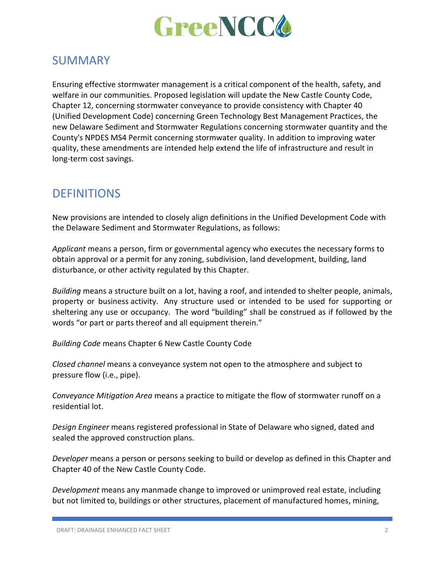

#### SUMMARY

Ensuring effective stormwater management is a critical component of the health, safety, and welfare in our communities. Proposed legislation will update the New Castle County Code, Chapter 12, concerning stormwater conveyance to provide consistency with Chapter 40 (Unified Development Code) concerning Green Technology Best Management Practices, the new Delaware Sediment and Stormwater Regulations concerning stormwater quantity and the County's NPDES MS4 Permit concerning stormwater quality. In addition to improving water quality, these amendments are intended help extend the life of infrastructure and result in long-term cost savings.

#### **DEFINITIONS**

New provisions are intended to closely align definitions in the Unified Development Code with the Delaware Sediment and Stormwater Regulations, as follows:

*Applicant* means a person, firm or governmental agency who executes the necessary forms to obtain approval or a permit for any zoning, subdivision, land development, building, land disturbance, or other activity regulated by this Chapter.

*Building* means a structure built on a lot, having a roof, and intended to shelter people, animals, property or business activity. Any structure used or intended to be used for supporting or sheltering any use or occupancy. The word "building" shall be construed as if followed by the words "or part or parts thereof and all equipment therein."

*Building Code* means Chapter 6 New Castle County Code

*Closed channel* means a conveyance system not open to the atmosphere and subject to pressure flow (i.e., pipe).

*Conveyance Mitigation Area* means a practice to mitigate the flow of stormwater runoff on a residential lot.

*Design Engineer* means registered professional in State of Delaware who signed, dated and sealed the approved construction plans.

*Developer* means a person or persons seeking to build or develop as defined in this Chapter and Chapter 40 of the New Castle County Code.

*Development* means any manmade change to improved or unimproved real estate, including but not limited to, buildings or other structures, placement of manufactured homes, mining,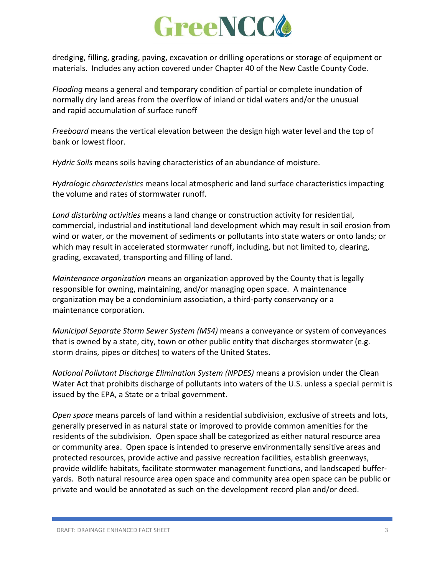

dredging, filling, grading, paving, excavation or drilling operations or storage of equipment or materials. Includes any action covered under Chapter 40 of the New Castle County Code.

*Flooding* means a general and temporary condition of partial or complete inundation of normally dry land areas from the overflow of inland or tidal waters and/or the unusual and rapid accumulation of surface runoff

*Freeboard* means the vertical elevation between the design high water level and the top of bank or lowest floor.

*Hydric Soils* means soils having characteristics of an abundance of moisture.

*Hydrologic characteristics* means local atmospheric and land surface characteristics impacting the volume and rates of stormwater runoff.

*Land disturbing activities* means a land change or construction activity for residential, commercial, industrial and institutional land development which may result in soil erosion from wind or water, or the movement of sediments or pollutants into state waters or onto lands; or which may result in accelerated stormwater runoff, including, but not limited to, clearing, grading, excavated, transporting and filling of land.

*Maintenance organization* means an organization approved by the County that is legally responsible for owning, maintaining, and/or managing open space. A maintenance organization may be a condominium association, a third-party conservancy or a maintenance corporation.

*Municipal Separate Storm Sewer System (MS4)* means a conveyance or system of conveyances that is owned by a state, city, town or other public entity that discharges stormwater (e.g. storm drains, pipes or ditches) to waters of the United States.

*National Pollutant Discharge Elimination System (NPDES)* means a provision under the Clean Water Act that prohibits discharge of pollutants into waters of the U.S. unless a special permit is issued by the EPA, a State or a tribal government.

*Open space* means parcels of land within a residential subdivision, exclusive of streets and lots, generally preserved in as natural state or improved to provide common amenities for the residents of the subdivision. Open space shall be categorized as either natural resource area or community area. Open space is intended to preserve environmentally sensitive areas and protected resources, provide active and passive recreation facilities, establish greenways, provide wildlife habitats, facilitate stormwater management functions, and landscaped bufferyards. Both natural resource area open space and community area open space can be public or private and would be annotated as such on the development record plan and/or deed.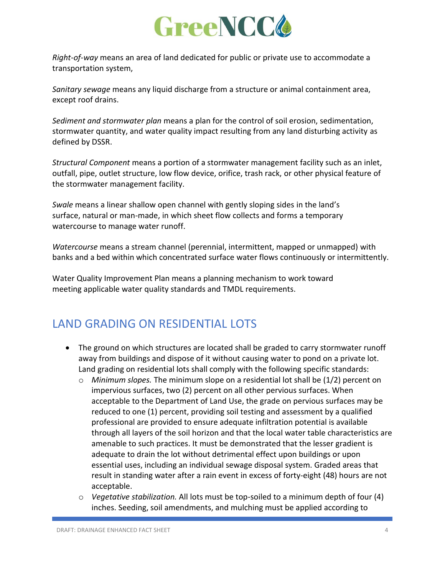

*Right-of-way* means an area of land dedicated for public or private use to accommodate a transportation system,

*Sanitary sewage* means any liquid discharge from a structure or animal containment area, except roof drains.

*Sediment and stormwater plan* means a plan for the control of soil erosion, sedimentation, stormwater quantity, and water quality impact resulting from any land disturbing activity as defined by DSSR.

*Structural Component* means a portion of a stormwater management facility such as an inlet, outfall, pipe, outlet structure, low flow device, orifice, trash rack, or other physical feature of the stormwater management facility.

*Swale* means a linear shallow open channel with gently sloping sides in the land's surface, natural or man-made, in which sheet flow collects and forms a temporary watercourse to manage water runoff.

*Watercourse* means a stream channel (perennial, intermittent, mapped or unmapped) with banks and a bed within which concentrated surface water flows continuously or intermittently.

Water Quality Improvement Plan means a planning mechanism to work toward meeting applicable water quality standards and TMDL requirements.

# LAND GRADING ON RESIDENTIAL LOTS

- The ground on which structures are located shall be graded to carry stormwater runoff away from buildings and dispose of it without causing water to pond on a private lot. Land grading on residential lots shall comply with the following specific standards:
	- o *Minimum slopes.* The minimum slope on a residential lot shall be (1/2) percent on impervious surfaces, two (2) percent on all other pervious surfaces. When acceptable to the Department of Land Use, the grade on pervious surfaces may be reduced to one (1) percent, providing soil testing and assessment by a qualified professional are provided to ensure adequate infiltration potential is available through all layers of the soil horizon and that the local water table characteristics are amenable to such practices. It must be demonstrated that the lesser gradient is adequate to drain the lot without detrimental effect upon buildings or upon essential uses, including an individual sewage disposal system. Graded areas that result in standing water after a rain event in excess of forty-eight (48) hours are not acceptable.
	- o *Vegetative stabilization.* All lots must be top-soiled to a minimum depth of four (4) inches. Seeding, soil amendments, and mulching must be applied according to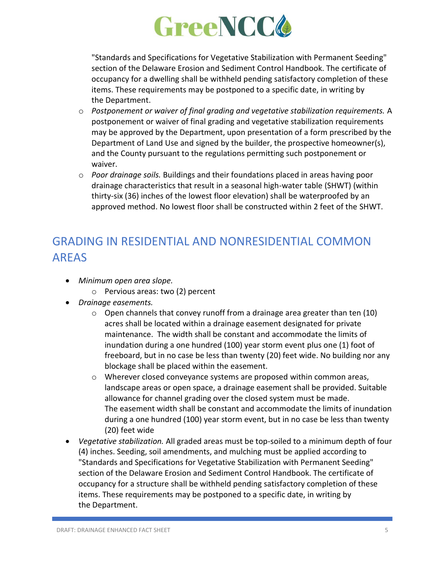

"Standards and Specifications for Vegetative Stabilization with Permanent Seeding" section of the Delaware Erosion and Sediment Control Handbook. The certificate of occupancy for a dwelling shall be withheld pending satisfactory completion of these items. These requirements may be postponed to a specific date, in writing by the Department.

- o *Postponement or waiver of final grading and vegetative stabilization requirements.* A postponement or waiver of final grading and vegetative stabilization requirements may be approved by the Department, upon presentation of a form prescribed by the Department of Land Use and signed by the builder, the prospective homeowner(s), and the County pursuant to the regulations permitting such postponement or waiver.
- o *Poor drainage soils.* Buildings and their foundations placed in areas having poor drainage characteristics that result in a seasonal high-water table (SHWT) (within thirty-six (36) inches of the lowest floor elevation) shall be waterproofed by an approved method. No lowest floor shall be constructed within 2 feet of the SHWT.

# GRADING IN RESIDENTIAL AND NONRESIDENTIAL COMMON AREAS

- *Minimum open area slope.*
	- o Pervious areas: two (2) percent
- *Drainage easements.*
	- o Open channels that convey runoff from a drainage area greater than ten (10) acres shall be located within a drainage easement designated for private maintenance. The width shall be constant and accommodate the limits of inundation during a one hundred (100) year storm event plus one (1) foot of freeboard, but in no case be less than twenty (20) feet wide. No building nor any blockage shall be placed within the easement.
	- $\circ$  Wherever closed conveyance systems are proposed within common areas, landscape areas or open space, a drainage easement shall be provided. Suitable allowance for channel grading over the closed system must be made. The easement width shall be constant and accommodate the limits of inundation during a one hundred (100) year storm event, but in no case be less than twenty (20) feet wide
- *Vegetative stabilization.* All graded areas must be top-soiled to a minimum depth of four (4) inches. Seeding, soil amendments, and mulching must be applied according to "Standards and Specifications for Vegetative Stabilization with Permanent Seeding" section of the Delaware Erosion and Sediment Control Handbook. The certificate of occupancy for a structure shall be withheld pending satisfactory completion of these items. These requirements may be postponed to a specific date, in writing by the Department.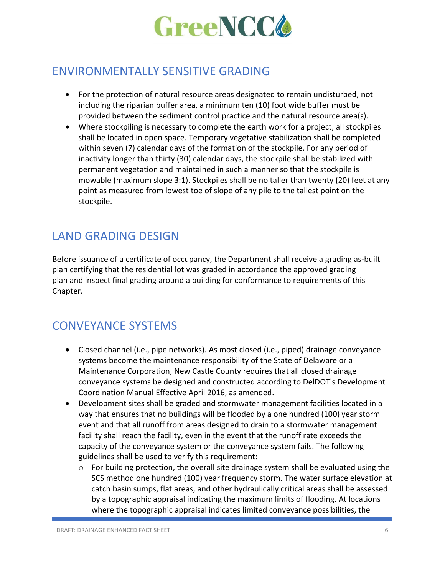

#### ENVIRONMENTALLY SENSITIVE GRADING

- For the protection of natural resource areas designated to remain undisturbed, not including the riparian buffer area, a minimum ten (10) foot wide buffer must be provided between the sediment control practice and the natural resource area(s).
- Where stockpiling is necessary to complete the earth work for a project, all stockpiles shall be located in open space. Temporary vegetative stabilization shall be completed within seven (7) calendar days of the formation of the stockpile. For any period of inactivity longer than thirty (30) calendar days, the stockpile shall be stabilized with permanent vegetation and maintained in such a manner so that the stockpile is mowable (maximum slope 3:1). Stockpiles shall be no taller than twenty (20) feet at any point as measured from lowest toe of slope of any pile to the tallest point on the stockpile.

## LAND GRADING DESIGN

Before issuance of a certificate of occupancy, the Department shall receive a grading as-built plan certifying that the residential lot was graded in accordance the approved grading plan and inspect final grading around a building for conformance to requirements of this Chapter.

## CONVEYANCE SYSTEMS

- Closed channel (i.e., pipe networks). As most closed (i.e., piped) drainage conveyance systems become the maintenance responsibility of the State of Delaware or a Maintenance Corporation, New Castle County requires that all closed drainage conveyance systems be designed and constructed according to DelDOT's Development Coordination Manual Effective April 2016, as amended.
- Development sites shall be graded and stormwater management facilities located in a way that ensures that no buildings will be flooded by a one hundred (100) year storm event and that all runoff from areas designed to drain to a stormwater management facility shall reach the facility, even in the event that the runoff rate exceeds the capacity of the conveyance system or the conveyance system fails. The following guidelines shall be used to verify this requirement:
	- o For building protection, the overall site drainage system shall be evaluated using the SCS method one hundred (100) year frequency storm. The water surface elevation at catch basin sumps, flat areas, and other hydraulically critical areas shall be assessed by a topographic appraisal indicating the maximum limits of flooding. At locations where the topographic appraisal indicates limited conveyance possibilities, the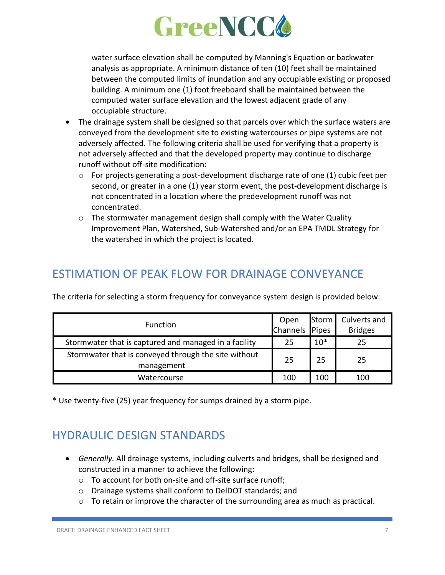

water surface elevation shall be computed by Manning's Equation or backwater analysis as appropriate. A minimum distance of ten (10) feet shall be maintained between the computed limits of inundation and any occupiable existing or proposed building. A minimum one (1) foot freeboard shall be maintained between the computed water surface elevation and the lowest adjacent grade of any occupiable structure.

- The drainage system shall be designed so that parcels over which the surface waters are conveyed from the development site to existing watercourses or pipe systems are not adversely affected. The following criteria shall be used for verifying that a property is not adversely affected and that the developed property may continue to discharge runoff without off-site modification:
	- o For projects generating a post-development discharge rate of one (1) cubic feet per second, or greater in a one (1) year storm event, the post-development discharge is not concentrated in a location where the predevelopment runoff was not concentrated.
	- $\circ$  The stormwater management design shall comply with the Water Quality Improvement Plan, Watershed, Sub-Watershed and/or an EPA TMDL Strategy for the watershed in which the project is located.

## ESTIMATION OF PEAK FLOW FOR DRAINAGE CONVEYANCE

| <b>Function</b>                                       | Open           |       | Storm   Culverts and |
|-------------------------------------------------------|----------------|-------|----------------------|
|                                                       | Channels Pipes |       | <b>Bridges</b>       |
| Stormwater that is captured and managed in a facility | 25             | $10*$ | 25                   |
| Stormwater that is conveyed through the site without  | 25             | 25    | 25                   |
| management                                            |                |       |                      |
| Watercourse                                           | 100            | 100   | 100                  |

The criteria for selecting a storm frequency for conveyance system design is provided below:

\* Use twenty-five (25) year frequency for sumps drained by a storm pipe.

## HYDRAULIC DESIGN STANDARDS

- *Generally.* All drainage systems, including culverts and bridges, shall be designed and constructed in a manner to achieve the following:
	- o To account for both on-site and off-site surface runoff;
	- o Drainage systems shall conform to DelDOT standards; and
	- $\circ$  To retain or improve the character of the surrounding area as much as practical.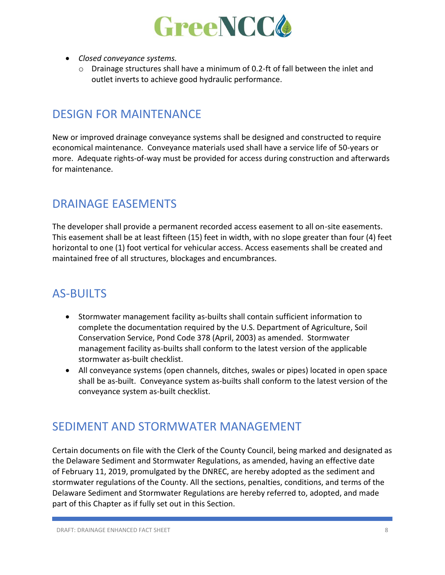

- *Closed conveyance systems.*
	- $\circ$  Drainage structures shall have a minimum of 0.2-ft of fall between the inlet and outlet inverts to achieve good hydraulic performance.

#### DESIGN FOR MAINTENANCE

New or improved drainage conveyance systems shall be designed and constructed to require economical maintenance. Conveyance materials used shall have a service life of 50-years or more. Adequate rights-of-way must be provided for access during construction and afterwards for maintenance.

#### DRAINAGE EASEMENTS

The developer shall provide a permanent recorded access easement to all on-site easements. This easement shall be at least fifteen (15) feet in width, with no slope greater than four (4) feet horizontal to one (1) foot vertical for vehicular access. Access easements shall be created and maintained free of all structures, blockages and encumbrances.

## AS-BUILTS

- Stormwater management facility as-builts shall contain sufficient information to complete the documentation required by the U.S. Department of Agriculture, Soil Conservation Service, Pond Code 378 (April, 2003) as amended. Stormwater management facility as-builts shall conform to the latest version of the applicable stormwater as-built checklist.
- All conveyance systems (open channels, ditches, swales or pipes) located in open space shall be as-built. Conveyance system as-builts shall conform to the latest version of the conveyance system as-built checklist.

#### SEDIMENT AND STORMWATER MANAGEMENT

Certain documents on file with the Clerk of the County Council, being marked and designated as the Delaware Sediment and Stormwater Regulations, as amended, having an effective date of February 11, 2019, promulgated by the DNREC, are hereby adopted as the sediment and stormwater regulations of the County. All the sections, penalties, conditions, and terms of the Delaware Sediment and Stormwater Regulations are hereby referred to, adopted, and made part of this Chapter as if fully set out in this Section.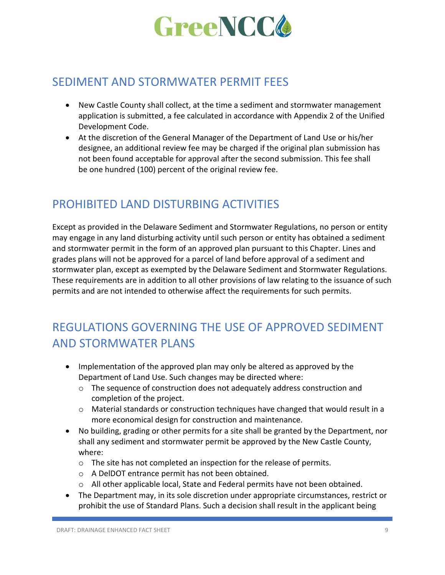

#### SEDIMENT AND STORMWATER PERMIT FEES

- New Castle County shall collect, at the time a sediment and stormwater management application is submitted, a fee calculated in accordance with Appendix 2 of the Unified Development Code.
- At the discretion of the General Manager of the Department of Land Use or his/her designee, an additional review fee may be charged if the original plan submission has not been found acceptable for approval after the second submission. This fee shall be one hundred (100) percent of the original review fee.

#### PROHIBITED LAND DISTURBING ACTIVITIES

Except as provided in the Delaware Sediment and Stormwater Regulations, no person or entity may engage in any land disturbing activity until such person or entity has obtained a sediment and stormwater permit in the form of an approved plan pursuant to this Chapter. Lines and grades plans will not be approved for a parcel of land before approval of a sediment and stormwater plan, except as exempted by the Delaware Sediment and Stormwater Regulations. These requirements are in addition to all other provisions of law relating to the issuance of such permits and are not intended to otherwise affect the requirements for such permits.

# REGULATIONS GOVERNING THE USE OF APPROVED SEDIMENT AND STORMWATER PLANS

- Implementation of the approved plan may only be altered as approved by the Department of Land Use. Such changes may be directed where:
	- $\circ$  The sequence of construction does not adequately address construction and completion of the project.
	- $\circ$  Material standards or construction techniques have changed that would result in a more economical design for construction and maintenance.
- No building, grading or other permits for a site shall be granted by the Department, nor shall any sediment and stormwater permit be approved by the New Castle County, where:
	- o The site has not completed an inspection for the release of permits.
	- o A DelDOT entrance permit has not been obtained.
	- $\circ$  All other applicable local, State and Federal permits have not been obtained.
- The Department may, in its sole discretion under appropriate circumstances, restrict or prohibit the use of Standard Plans. Such a decision shall result in the applicant being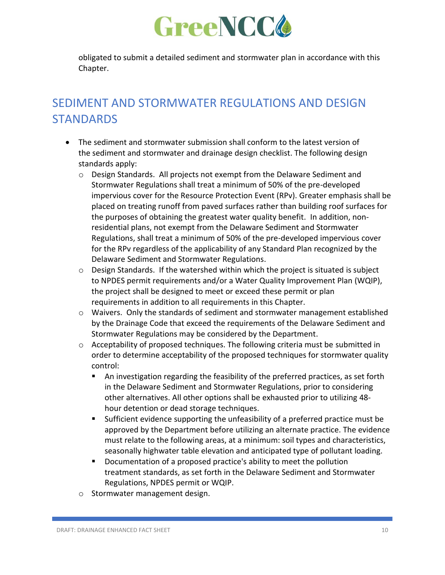

obligated to submit a detailed sediment and stormwater plan in accordance with this Chapter.

# SEDIMENT AND STORMWATER REGULATIONS AND DESIGN **STANDARDS**

- The sediment and stormwater submission shall conform to the latest version of the sediment and stormwater and drainage design checklist. The following design standards apply:
	- $\circ$  Design Standards. All projects not exempt from the Delaware Sediment and Stormwater Regulations shall treat a minimum of 50% of the pre-developed impervious cover for the Resource Protection Event (RPv). Greater emphasis shall be placed on treating runoff from paved surfaces rather than building roof surfaces for the purposes of obtaining the greatest water quality benefit. In addition, nonresidential plans, not exempt from the Delaware Sediment and Stormwater Regulations, shall treat a minimum of 50% of the pre-developed impervious cover for the RPv regardless of the applicability of any Standard Plan recognized by the Delaware Sediment and Stormwater Regulations.
	- $\circ$  Design Standards. If the watershed within which the project is situated is subject to NPDES permit requirements and/or a Water Quality Improvement Plan (WQIP), the project shall be designed to meet or exceed these permit or plan requirements in addition to all requirements in this Chapter.
	- $\circ$  Waivers. Only the standards of sediment and stormwater management established by the Drainage Code that exceed the requirements of the Delaware Sediment and Stormwater Regulations may be considered by the Department.
	- $\circ$  Acceptability of proposed techniques. The following criteria must be submitted in order to determine acceptability of the proposed techniques for stormwater quality control:
		- An investigation regarding the feasibility of the preferred practices, as set forth in the Delaware Sediment and Stormwater Regulations, prior to considering other alternatives. All other options shall be exhausted prior to utilizing 48 hour detention or dead storage techniques.
		- Sufficient evidence supporting the unfeasibility of a preferred practice must be approved by the Department before utilizing an alternate practice. The evidence must relate to the following areas, at a minimum: soil types and characteristics, seasonally highwater table elevation and anticipated type of pollutant loading.
		- Documentation of a proposed practice's ability to meet the pollution treatment standards, as set forth in the Delaware Sediment and Stormwater Regulations, NPDES permit or WQIP.
	- o Stormwater management design.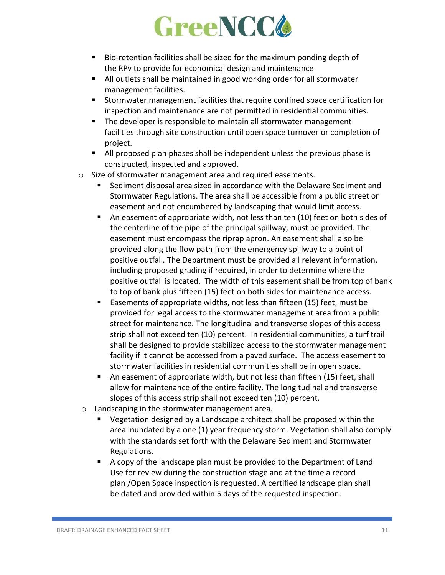

- Bio-retention facilities shall be sized for the maximum ponding depth of the RPv to provide for economical design and maintenance
- All outlets shall be maintained in good working order for all stormwater management facilities.
- Stormwater management facilities that require confined space certification for inspection and maintenance are not permitted in residential communities.
- The developer is responsible to maintain all stormwater management facilities through site construction until open space turnover or completion of project.
- All proposed plan phases shall be independent unless the previous phase is constructed, inspected and approved.
- o Size of stormwater management area and required easements.
	- Sediment disposal area sized in accordance with the Delaware Sediment and Stormwater Regulations. The area shall be accessible from a public street or easement and not encumbered by landscaping that would limit access.
	- An easement of appropriate width, not less than ten (10) feet on both sides of the centerline of the pipe of the principal spillway, must be provided. The easement must encompass the riprap apron. An easement shall also be provided along the flow path from the emergency spillway to a point of positive outfall. The Department must be provided all relevant information, including proposed grading if required, in order to determine where the positive outfall is located. The width of this easement shall be from top of bank to top of bank plus fifteen (15) feet on both sides for maintenance access.
	- Easements of appropriate widths, not less than fifteen (15) feet, must be provided for legal access to the stormwater management area from a public street for maintenance. The longitudinal and transverse slopes of this access strip shall not exceed ten (10) percent. In residential communities, a turf trail shall be designed to provide stabilized access to the stormwater management facility if it cannot be accessed from a paved surface. The access easement to stormwater facilities in residential communities shall be in open space.
	- An easement of appropriate width, but not less than fifteen (15) feet, shall allow for maintenance of the entire facility. The longitudinal and transverse slopes of this access strip shall not exceed ten (10) percent.
- o Landscaping in the stormwater management area.
	- Vegetation designed by a Landscape architect shall be proposed within the area inundated by a one (1) year frequency storm. Vegetation shall also comply with the standards set forth with the Delaware Sediment and Stormwater Regulations.
	- A copy of the landscape plan must be provided to the Department of Land Use for review during the construction stage and at the time a record plan /Open Space inspection is requested. A certified landscape plan shall be dated and provided within 5 days of the requested inspection.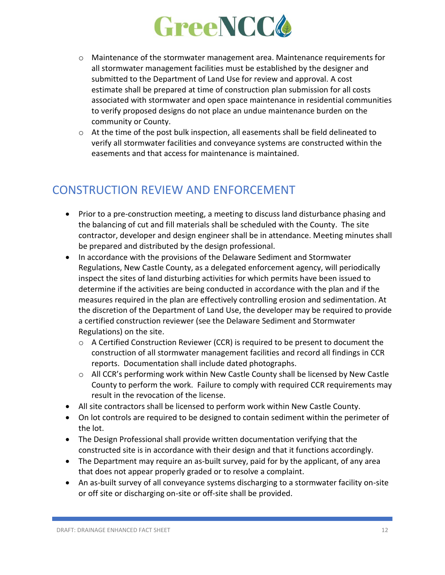

- $\circ$  Maintenance of the stormwater management area. Maintenance requirements for all stormwater management facilities must be established by the designer and submitted to the Department of Land Use for review and approval. A cost estimate shall be prepared at time of construction plan submission for all costs associated with stormwater and open space maintenance in residential communities to verify proposed designs do not place an undue maintenance burden on the community or County.
- $\circ$  At the time of the post bulk inspection, all easements shall be field delineated to verify all stormwater facilities and conveyance systems are constructed within the easements and that access for maintenance is maintained.

#### CONSTRUCTION REVIEW AND ENFORCEMENT

- Prior to a pre-construction meeting, a meeting to discuss land disturbance phasing and the balancing of cut and fill materials shall be scheduled with the County. The site contractor, developer and design engineer shall be in attendance. Meeting minutes shall be prepared and distributed by the design professional.
- In accordance with the provisions of the Delaware Sediment and Stormwater Regulations, New Castle County, as a delegated enforcement agency, will periodically inspect the sites of land disturbing activities for which permits have been issued to determine if the activities are being conducted in accordance with the plan and if the measures required in the plan are effectively controlling erosion and sedimentation. At the discretion of the Department of Land Use, the developer may be required to provide a certified construction reviewer (see the Delaware Sediment and Stormwater Regulations) on the site.
	- $\circ$  A Certified Construction Reviewer (CCR) is required to be present to document the construction of all stormwater management facilities and record all findings in CCR reports. Documentation shall include dated photographs.
	- $\circ$  All CCR's performing work within New Castle County shall be licensed by New Castle County to perform the work. Failure to comply with required CCR requirements may result in the revocation of the license.
- All site contractors shall be licensed to perform work within New Castle County.
- On lot controls are required to be designed to contain sediment within the perimeter of the lot.
- The Design Professional shall provide written documentation verifying that the constructed site is in accordance with their design and that it functions accordingly.
- The Department may require an as-built survey, paid for by the applicant, of any area that does not appear properly graded or to resolve a complaint.
- An as-built survey of all conveyance systems discharging to a stormwater facility on-site or off site or discharging on-site or off-site shall be provided.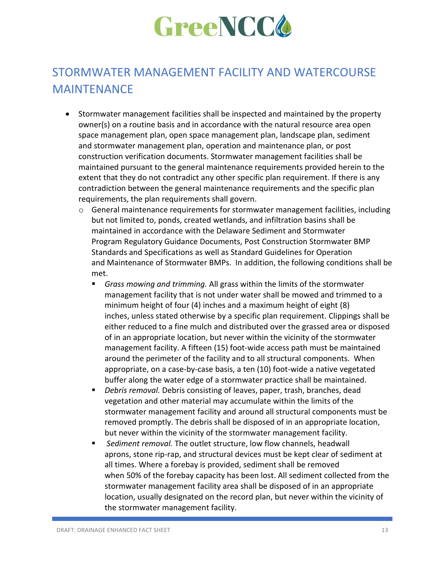

# STORMWATER MANAGEMENT FACILITY AND WATERCOURSE MAINTENANCE

- Stormwater management facilities shall be inspected and maintained by the property owner(s) on a routine basis and in accordance with the natural resource area open space management plan, open space management plan, landscape plan, sediment and stormwater management plan, operation and maintenance plan, or post construction verification documents. Stormwater management facilities shall be maintained pursuant to the general maintenance requirements provided herein to the extent that they do not contradict any other specific plan requirement. If there is any contradiction between the general maintenance requirements and the specific plan requirements, the plan requirements shall govern.
	- o General maintenance requirements for stormwater management facilities, including but not limited to, ponds, created wetlands, and infiltration basins shall be maintained in accordance with the Delaware Sediment and Stormwater Program Regulatory Guidance Documents, Post Construction Stormwater BMP Standards and Specifications as well as Standard Guidelines for Operation and Maintenance of Stormwater BMPs. In addition, the following conditions shall be met.
		- *Grass mowing and trimming.* All grass within the limits of the stormwater management facility that is not under water shall be mowed and trimmed to a minimum height of four (4) inches and a maximum height of eight (8) inches, unless stated otherwise by a specific plan requirement. Clippings shall be either reduced to a fine mulch and distributed over the grassed area or disposed of in an appropriate location, but never within the vicinity of the stormwater management facility. A fifteen (15) foot-wide access path must be maintained around the perimeter of the facility and to all structural components. When appropriate, on a case-by-case basis, a ten (10) foot-wide a native vegetated buffer along the water edge of a stormwater practice shall be maintained.
		- *Debris removal.* Debris consisting of leaves, paper, trash, branches, dead vegetation and other material may accumulate within the limits of the stormwater management facility and around all structural components must be removed promptly. The debris shall be disposed of in an appropriate location, but never within the vicinity of the stormwater management facility.
		- *Sediment removal.* The outlet structure, low flow channels, headwall aprons, stone rip-rap, and structural devices must be kept clear of sediment at all times. Where a forebay is provided, sediment shall be removed when 50% of the forebay capacity has been lost. All sediment collected from the stormwater management facility area shall be disposed of in an appropriate location, usually designated on the record plan, but never within the vicinity of the stormwater management facility.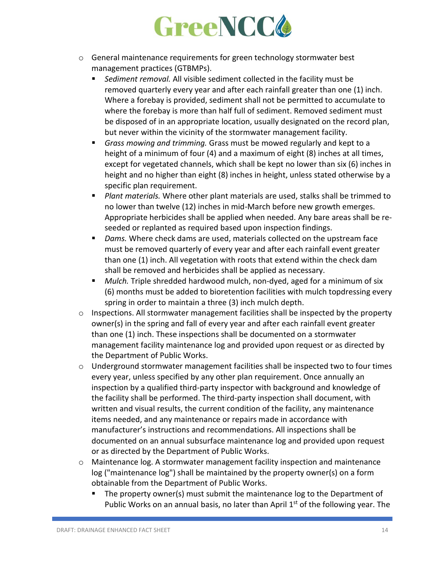

- $\circ$  General maintenance requirements for green technology stormwater best management practices (GTBMPs).
	- *Sediment removal.* All visible sediment collected in the facility must be removed quarterly every year and after each rainfall greater than one (1) inch. Where a forebay is provided, sediment shall not be permitted to accumulate to where the forebay is more than half full of sediment. Removed sediment must be disposed of in an appropriate location, usually designated on the record plan, but never within the vicinity of the stormwater management facility.
	- *Grass mowing and trimming.* Grass must be mowed regularly and kept to a height of a minimum of four (4) and a maximum of eight (8) inches at all times, except for vegetated channels, which shall be kept no lower than six (6) inches in height and no higher than eight (8) inches in height, unless stated otherwise by a specific plan requirement.
	- *Plant materials*. Where other plant materials are used, stalks shall be trimmed to no lower than twelve (12) inches in mid-March before new growth emerges. Appropriate herbicides shall be applied when needed. Any bare areas shall be reseeded or replanted as required based upon inspection findings.
	- *Dams*. Where check dams are used, materials collected on the upstream face must be removed quarterly of every year and after each rainfall event greater than one (1) inch. All vegetation with roots that extend within the check dam shall be removed and herbicides shall be applied as necessary.
	- *Mulch*. Triple shredded hardwood mulch, non-dyed, aged for a minimum of six (6) months must be added to bioretention facilities with mulch topdressing every spring in order to maintain a three (3) inch mulch depth.
- o Inspections. All stormwater management facilities shall be inspected by the property owner(s) in the spring and fall of every year and after each rainfall event greater than one (1) inch. These inspections shall be documented on a stormwater management facility maintenance log and provided upon request or as directed by the Department of Public Works.
- $\circ$  Underground stormwater management facilities shall be inspected two to four times every year, unless specified by any other plan requirement. Once annually an inspection by a qualified third-party inspector with background and knowledge of the facility shall be performed. The third-party inspection shall document, with written and visual results, the current condition of the facility, any maintenance items needed, and any maintenance or repairs made in accordance with manufacturer's instructions and recommendations. All inspections shall be documented on an annual subsurface maintenance log and provided upon request or as directed by the Department of Public Works.
- o Maintenance log. A stormwater management facility inspection and maintenance log ("maintenance log") shall be maintained by the property owner(s) on a form obtainable from the Department of Public Works.
	- The property owner(s) must submit the maintenance log to the Department of Public Works on an annual basis, no later than April 1<sup>st</sup> of the following year. The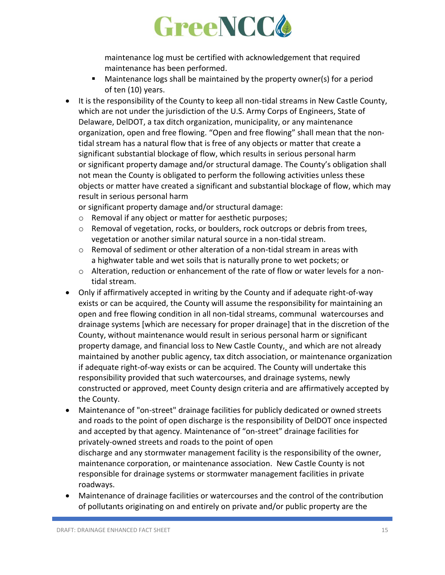

maintenance log must be certified with acknowledgement that required maintenance has been performed.

- Maintenance logs shall be maintained by the property owner(s) for a period of ten (10) years.
- It is the responsibility of the County to keep all non-tidal streams in New Castle County, which are not under the jurisdiction of the U.S. Army Corps of Engineers, State of Delaware, DelDOT, a tax ditch organization, municipality, or any maintenance organization, open and free flowing. "Open and free flowing" shall mean that the nontidal stream has a natural flow that is free of any objects or matter that create a significant substantial blockage of flow, which results in serious personal harm or significant property damage and/or structural damage. The County's obligation shall not mean the County is obligated to perform the following activities unless these objects or matter have created a significant and substantial blockage of flow, which may result in serious personal harm

or significant property damage and/or structural damage:

- o Removal if any object or matter for aesthetic purposes;
- $\circ$  Removal of vegetation, rocks, or boulders, rock outcrops or debris from trees, vegetation or another similar natural source in a non-tidal stream.
- o Removal of sediment or other alteration of a non-tidal stream in areas with a highwater table and wet soils that is naturally prone to wet pockets; or
- $\circ$  Alteration, reduction or enhancement of the rate of flow or water levels for a nontidal stream.
- Only if affirmatively accepted in writing by the County and if adequate right-of-way exists or can be acquired, the County will assume the responsibility for maintaining an open and free flowing condition in all non-tidal streams, communal watercourses and drainage systems [which are necessary for proper drainage] that in the discretion of the County, without maintenance would result in serious personal harm or significant property damage, and financial loss to New Castle County, and which are not already maintained by another public agency, tax ditch association, or maintenance organization if adequate right-of-way exists or can be acquired. The County will undertake this responsibility provided that such watercourses, and drainage systems, newly constructed or approved, meet County design criteria and are affirmatively accepted by the County.
- Maintenance of "on-street" drainage facilities for publicly dedicated or owned streets and roads to the point of open discharge is the responsibility of DelDOT once inspected and accepted by that agency. Maintenance of "on-street" drainage facilities for privately-owned streets and roads to the point of open discharge and any stormwater management facility is the responsibility of the owner, maintenance corporation, or maintenance association. New Castle County is not responsible for drainage systems or stormwater management facilities in private roadways.
- Maintenance of drainage facilities or watercourses and the control of the contribution of pollutants originating on and entirely on private and/or public property are the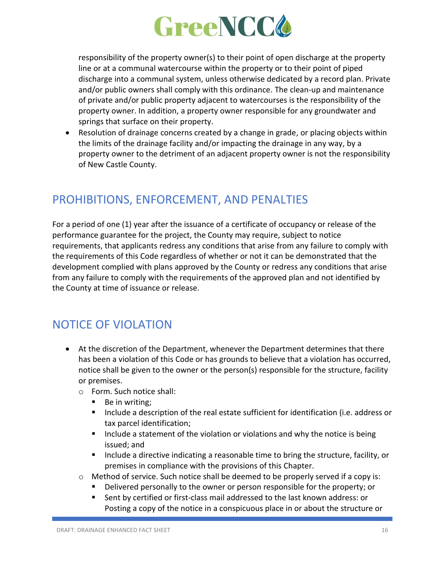

responsibility of the property owner(s) to their point of open discharge at the property line or at a communal watercourse within the property or to their point of piped discharge into a communal system, unless otherwise dedicated by a record plan. Private and/or public owners shall comply with this ordinance. The clean-up and maintenance of private and/or public property adjacent to watercourses is the responsibility of the property owner. In addition, a property owner responsible for any groundwater and springs that surface on their property.

• Resolution of drainage concerns created by a change in grade, or placing objects within the limits of the drainage facility and/or impacting the drainage in any way, by a property owner to the detriment of an adjacent property owner is not the responsibility of New Castle County.

### PROHIBITIONS, ENFORCEMENT, AND PENALTIES

For a period of one (1) year after the issuance of a certificate of occupancy or release of the performance guarantee for the project, the County may require, subject to notice requirements, that applicants redress any conditions that arise from any failure to comply with the requirements of this Code regardless of whether or not it can be demonstrated that the development complied with plans approved by the County or redress any conditions that arise from any failure to comply with the requirements of the approved plan and not identified by the County at time of issuance or release.

#### NOTICE OF VIOLATION

- At the discretion of the Department, whenever the Department determines that there has been a violation of this Code or has grounds to believe that a violation has occurred, notice shall be given to the owner or the person(s) responsible for the structure, facility or premises.
	- o Form. Such notice shall:
		- Be in writing;
		- Include a description of the real estate sufficient for identification (i.e. address or tax parcel identification;
		- Include a statement of the violation or violations and why the notice is being issued; and
		- Include a directive indicating a reasonable time to bring the structure, facility, or premises in compliance with the provisions of this Chapter.
	- $\circ$  Method of service. Such notice shall be deemed to be properly served if a copy is:
		- Delivered personally to the owner or person responsible for the property; or
		- Sent by certified or first-class mail addressed to the last known address: or Posting a copy of the notice in a conspicuous place in or about the structure or